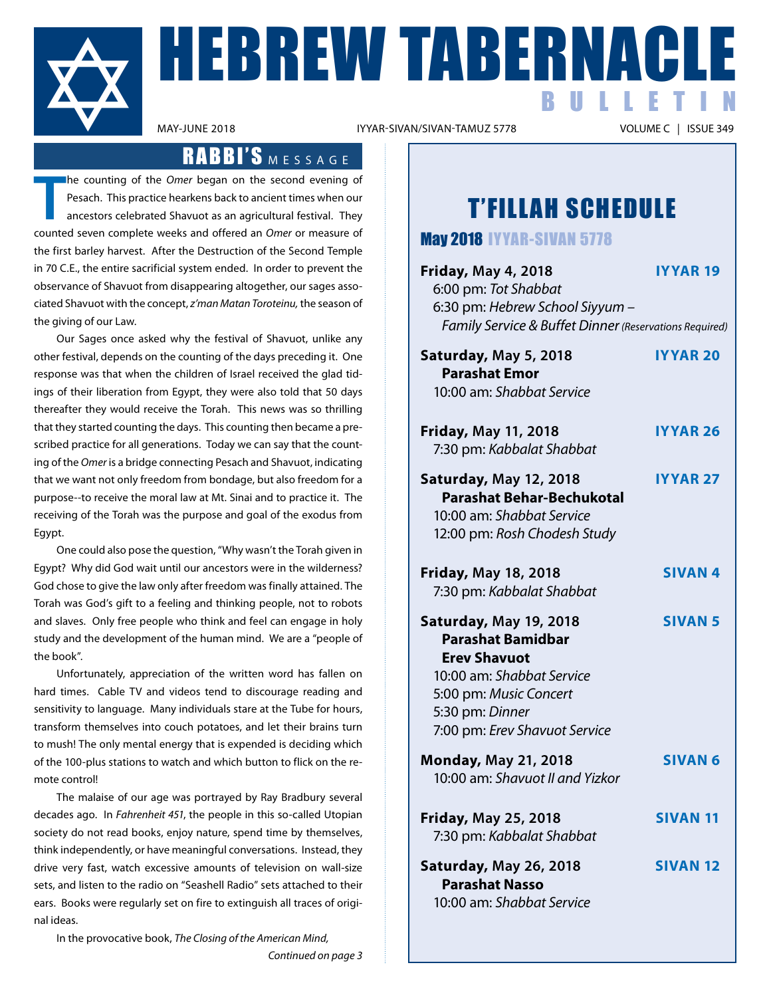

**HEBREW TABERNACLE** BULLETIN

IYYAR-SIVAN/SIVAN-TAMUZ 5778

### RABBI'S MESSAGE

**T** he counting of the *Omer* began on the second evening of Pesach. This practice hearkens back to ancient times when our ancestors celebrated Shavuot as an agricultural festival. They counted seven complete weeks and offered an *Omer* or measure of the first barley harvest. After the Destruction of the Second Temple in 70 C.E., the entire sacrificial system ended. In order to prevent the observance of Shavuot from disappearing altogether, our sages associated Shavuot with the concept, *z'man Matan Toroteinu,* the season of the giving of our Law.

Our Sages once asked why the festival of Shavuot, unlike any other festival, depends on the counting of the days preceding it. One response was that when the children of Israel received the glad tidings of their liberation from Egypt, they were also told that 50 days thereafter they would receive the Torah. This news was so thrilling that they started counting the days. This counting then became a prescribed practice for all generations. Today we can say that the counting of the *Omer* is a bridge connecting Pesach and Shavuot, indicating that we want not only freedom from bondage, but also freedom for a purpose--to receive the moral law at Mt. Sinai and to practice it. The receiving of the Torah was the purpose and goal of the exodus from Egypt.

One could also pose the question, "Why wasn't the Torah given in Egypt? Why did God wait until our ancestors were in the wilderness? God chose to give the law only after freedom was finally attained. The Torah was God's gift to a feeling and thinking people, not to robots and slaves. Only free people who think and feel can engage in holy study and the development of the human mind. We are a "people of the book".

Unfortunately, appreciation of the written word has fallen on hard times. Cable TV and videos tend to discourage reading and sensitivity to language. Many individuals stare at the Tube for hours, transform themselves into couch potatoes, and let their brains turn to mush! The only mental energy that is expended is deciding which of the 100-plus stations to watch and which button to flick on the remote control!

 The malaise of our age was portrayed by Ray Bradbury several decades ago. In *Fahrenheit 451*, the people in this so-called Utopian society do not read books, enjoy nature, spend time by themselves, think independently, or have meaningful conversations. Instead, they drive very fast, watch excessive amounts of television on wall-size sets, and listen to the radio on "Seashell Radio" sets attached to their ears. Books were regularly set on fire to extinguish all traces of original ideas.

In the provocative book, *The Closing of the American Mind,*

*Continued on page 3*

### T'FILLAH SCHEDULE

May 2018 iyyar-sivan 5778

| <b>Friday, May 4, 2018</b><br>6:00 pm: Tot Shabbat<br>6:30 pm: Hebrew School Siyyum -<br>Family Service & Buffet Dinner (Reservations Required)                                      | <b>IYYAR 19</b> |
|--------------------------------------------------------------------------------------------------------------------------------------------------------------------------------------|-----------------|
| Saturday, May 5, 2018<br><b>Parashat Emor</b><br>10:00 am: Shabbat Service                                                                                                           | <b>IYYAR 20</b> |
| <b>Friday, May 11, 2018</b><br>7:30 pm: Kabbalat Shabbat                                                                                                                             | <b>IYYAR 26</b> |
| <b>Saturday, May 12, 2018</b><br><b>Parashat Behar-Bechukotal</b><br>10:00 am: Shabbat Service<br>12:00 pm: Rosh Chodesh Study                                                       | <b>IYYAR 27</b> |
| <b>Friday, May 18, 2018</b><br>7:30 pm: Kabbalat Shabbat                                                                                                                             | <b>SIVAN4</b>   |
| Saturday, May 19, 2018<br><b>Parashat Bamidbar</b><br><b>Erev Shavuot</b><br>10:00 am: Shabbat Service<br>5:00 pm: Music Concert<br>5:30 pm: Dinner<br>7:00 pm: Erev Shavuot Service | <b>SIVAN 5</b>  |
| <b>Monday, May 21, 2018</b><br>10:00 am: Shavuot II and Yizkor                                                                                                                       | <b>SIVAN 6</b>  |
| <b>Friday, May 25, 2018</b><br>7:30 pm: Kabbalat Shabbat                                                                                                                             | <b>SIVAN 11</b> |
| <b>Saturday, May 26, 2018</b><br><b>Parashat Nasso</b><br>10:00 am: Shabbat Service                                                                                                  | <b>SIVAN 12</b> |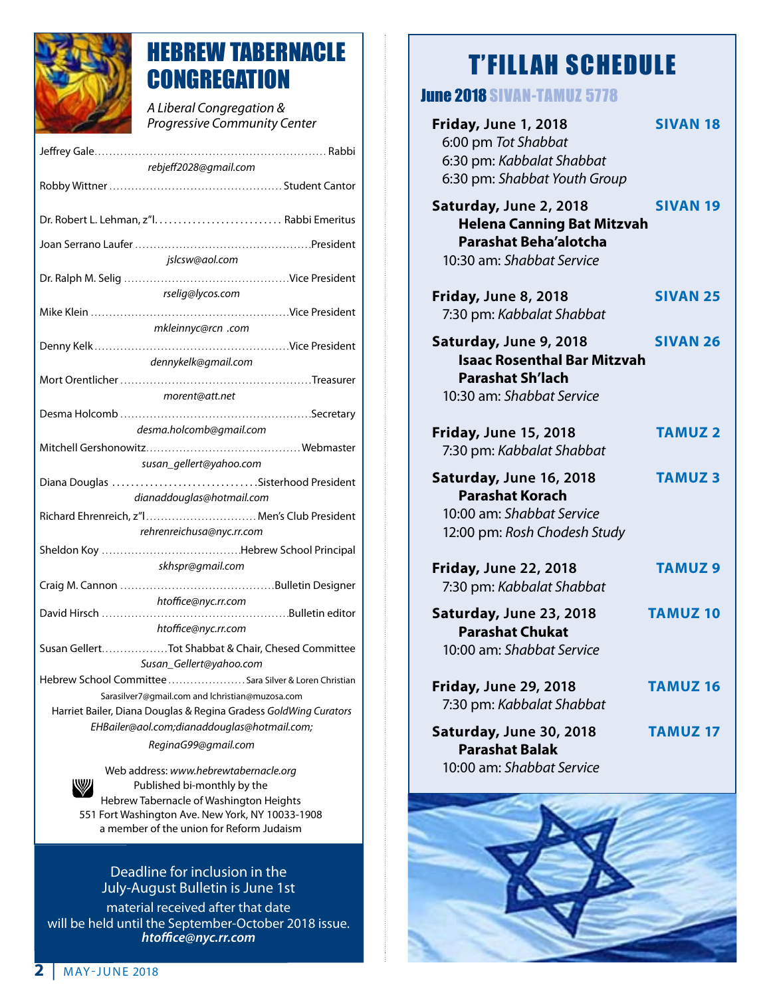

### HEBREW TABERNACLE **CONGREGATION**

*A Liberal Congregation & Progressive Community Center* 

| rebjeff2028@gmail.com                                                                                     |  |  |
|-----------------------------------------------------------------------------------------------------------|--|--|
|                                                                                                           |  |  |
|                                                                                                           |  |  |
|                                                                                                           |  |  |
| jslcsw@aol.com                                                                                            |  |  |
| rselig@lycos.com                                                                                          |  |  |
|                                                                                                           |  |  |
| mkleinnyc@rcn .com                                                                                        |  |  |
|                                                                                                           |  |  |
| dennykelk@gmail.com                                                                                       |  |  |
|                                                                                                           |  |  |
| morent@att.net                                                                                            |  |  |
|                                                                                                           |  |  |
| desma.holcomb@gmail.com                                                                                   |  |  |
|                                                                                                           |  |  |
| susan_gellert@yahoo.com                                                                                   |  |  |
| Diana Douglas Sisterhood President<br>dianaddouglas@hotmail.com                                           |  |  |
| Richard Ehrenreich, z"  Men's Club President                                                              |  |  |
| rehrenreichusa@nyc.rr.com                                                                                 |  |  |
|                                                                                                           |  |  |
| skhspr@gmail.com                                                                                          |  |  |
|                                                                                                           |  |  |
| htoffice@nyc.rr.com                                                                                       |  |  |
|                                                                                                           |  |  |
| htoffice@nyc.rr.com                                                                                       |  |  |
| Susan GellertTot Shabbat & Chair, Chesed Committee                                                        |  |  |
| Susan_Gellert@yahoo.com                                                                                   |  |  |
| Hebrew School Committee  Sara Silver & Loren Christian<br>Sarasilver7@gmail.com and lchristian@muzosa.com |  |  |
| Harriet Bailer, Diana Douglas & Regina Gradess GoldWing Curators                                          |  |  |
| EHBailer@aol.com;dianaddouglas@hotmail.com;                                                               |  |  |
| ReginaG99@gmail.com                                                                                       |  |  |
|                                                                                                           |  |  |

Web address: *www.hebrewtabernacle.org* W Published bi-monthly by the Hebrew Tabernacle of Washington Heights 551 Fort Washington Ave. New York, NY 10033-1908 a member of the union for Reform Judaism

#### Deadline for inclusion in the July-August Bulletin is June 1st

material received after that date will be held until the September-October 2018 issue. *htoffice@nyc.rr.com*

### T'FILLAH SCHEDULE

### June 2018 SIVAN-tamuz 5778

| <b>Friday, June 1, 2018</b><br>6:00 pm Tot Shabbat<br>6:30 pm: Kabbalat Shabbat<br>6:30 pm: Shabbat Youth Group          | <b>SIVAN 18</b> |
|--------------------------------------------------------------------------------------------------------------------------|-----------------|
| Saturday, June 2, 2018<br><b>Helena Canning Bat Mitzvah</b><br><b>Parashat Beha'alotcha</b><br>10:30 am: Shabbat Service | <b>SIVAN 19</b> |
| <b>Friday, June 8, 2018</b><br>7:30 pm: Kabbalat Shabbat                                                                 | <b>SIVAN 25</b> |
| Saturday, June 9, 2018<br><b>Isaac Rosenthal Bar Mitzvah</b><br><b>Parashat Sh'lach</b><br>10:30 am: Shabbat Service     | <b>SIVAN 26</b> |
| <b>Friday, June 15, 2018</b><br>7:30 pm: Kabbalat Shabbat                                                                | <b>TAMUZ 2</b>  |
| Saturday, June 16, 2018<br><b>Parashat Korach</b><br>10:00 am: Shabbat Service<br>12:00 pm: Rosh Chodesh Study           | <b>TAMUZ3</b>   |
| <b>Friday, June 22, 2018</b><br>7:30 pm: Kabbalat Shabbat                                                                | <b>TAMUZ9</b>   |
| Saturday, June 23, 2018<br><b>Parashat Chukat</b><br>10:00 am: Shabbat Service                                           | <b>TAMUZ 10</b> |
| <b>Friday, June 29, 2018</b><br>7:30 pm: Kabbalat Shabbat                                                                | <b>TAMUZ 16</b> |
| Saturday, June 30, 2018<br><b>Parashat Balak</b><br>10:00 am: Shabbat Service                                            | <b>TAMUZ 17</b> |

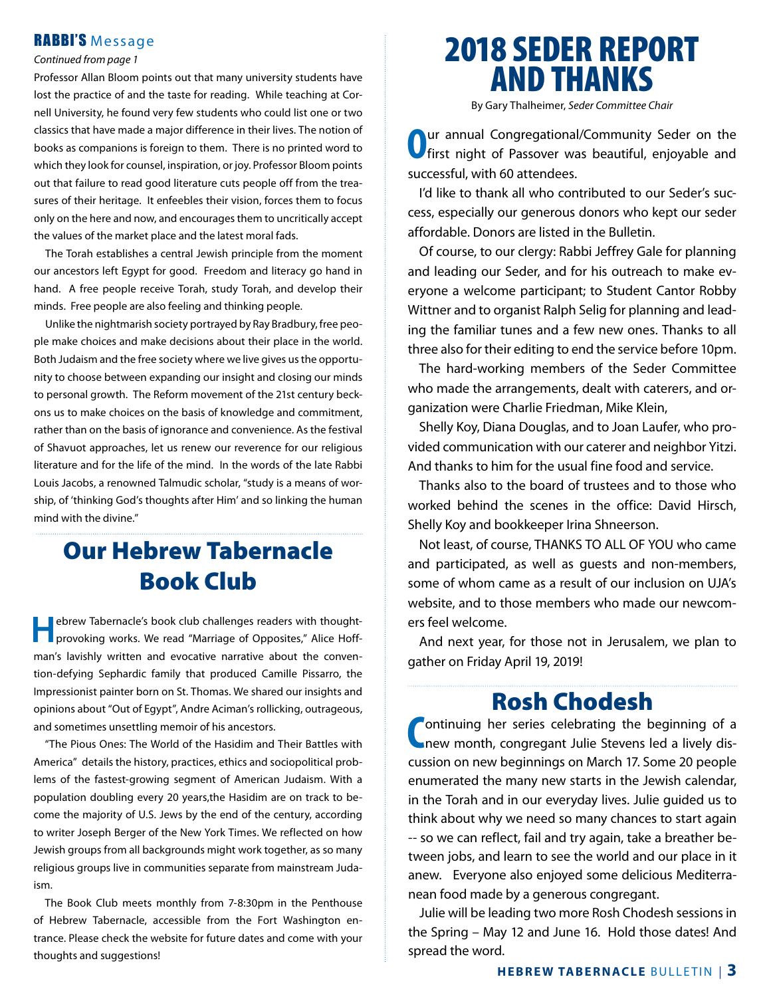#### RABBI'S Message

#### *Continued from page 1*

Professor Allan Bloom points out that many university students have lost the practice of and the taste for reading. While teaching at Cornell University, he found very few students who could list one or two classics that have made a major difference in their lives. The notion of books as companions is foreign to them. There is no printed word to which they look for counsel, inspiration, or joy. Professor Bloom points out that failure to read good literature cuts people off from the treasures of their heritage. It enfeebles their vision, forces them to focus only on the here and now, and encourages them to uncritically accept the values of the market place and the latest moral fads.

 The Torah establishes a central Jewish principle from the moment our ancestors left Egypt for good. Freedom and literacy go hand in hand. A free people receive Torah, study Torah, and develop their minds. Free people are also feeling and thinking people.

Unlike the nightmarish society portrayed by Ray Bradbury, free people make choices and make decisions about their place in the world. Both Judaism and the free society where we live gives us the opportunity to choose between expanding our insight and closing our minds to personal growth. The Reform movement of the 21st century beckons us to make choices on the basis of knowledge and commitment, rather than on the basis of ignorance and convenience. As the festival of Shavuot approaches, let us renew our reverence for our religious literature and for the life of the mind. In the words of the late Rabbi Louis Jacobs, a renowned Talmudic scholar, "study is a means of worship, of 'thinking God's thoughts after Him' and so linking the human mind with the divine."

### Our Hebrew Tabernacle Book Club

**Hebrew Tabernacle's book club challenges readers with thought**provoking works. We read "Marriage of Opposites," Alice Hoffman's lavishly written and evocative narrative about the convention-defying Sephardic family that produced Camille Pissarro, the Impressionist painter born on St. Thomas. We shared our insights and opinions about "Out of Egypt", Andre Aciman's rollicking, outrageous, and sometimes unsettling memoir of his ancestors.

"The Pious Ones: The World of the Hasidim and Their Battles with America" details the history, practices, ethics and sociopolitical problems of the fastest-growing segment of American Judaism. With a population doubling every 20 years,the Hasidim are on track to become the majority of U.S. Jews by the end of the century, according to writer Joseph Berger of the New York Times. We reflected on how Jewish groups from all backgrounds might work together, as so many religious groups live in communities separate from mainstream Judaism.

 The Book Club meets monthly from 7-8:30pm in the Penthouse of Hebrew Tabernacle, accessible from the Fort Washington entrance. Please check the website for future dates and come with your thoughts and suggestions!

### 2018 SEDER REPORT AND THANKS

By Gary Thalheimer, *Seder Committee Chair*

**Our annual Congregational/Community Seder on the first night of Passover was beautiful, enjoyable and** successful, with 60 attendees.

 I'd like to thank all who contributed to our Seder's success, especially our generous donors who kept our seder affordable. Donors are listed in the Bulletin.

Of course, to our clergy: Rabbi Jeffrey Gale for planning and leading our Seder, and for his outreach to make everyone a welcome participant; to Student Cantor Robby Wittner and to organist Ralph Selig for planning and leading the familiar tunes and a few new ones. Thanks to all three also for their editing to end the service before 10pm.

 The hard-working members of the Seder Committee who made the arrangements, dealt with caterers, and organization were Charlie Friedman, Mike Klein,

 Shelly Koy, Diana Douglas, and to Joan Laufer, who provided communication with our caterer and neighbor Yitzi. And thanks to him for the usual fine food and service.

 Thanks also to the board of trustees and to those who worked behind the scenes in the office: David Hirsch, Shelly Koy and bookkeeper Irina Shneerson.

Not least, of course, THANKS TO ALL OF YOU who came and participated, as well as guests and non-members, some of whom came as a result of our inclusion on UJA's website, and to those members who made our newcomers feel welcome.

And next year, for those not in Jerusalem, we plan to gather on Friday April 19, 2019!

### Rosh Chodesh

**C** ontinuing her series celebrating the beginning of a new month, congregant Julie Stevens led a lively disnew month, congregant Julie Stevens led a lively discussion on new beginnings on March 17. Some 20 people enumerated the many new starts in the Jewish calendar, in the Torah and in our everyday lives. Julie guided us to think about why we need so many chances to start again -- so we can reflect, fail and try again, take a breather between jobs, and learn to see the world and our place in it anew. Everyone also enjoyed some delicious Mediterranean food made by a generous congregant.

Julie will be leading two more Rosh Chodesh sessions in the Spring – May 12 and June 16. Hold those dates! And spread the word.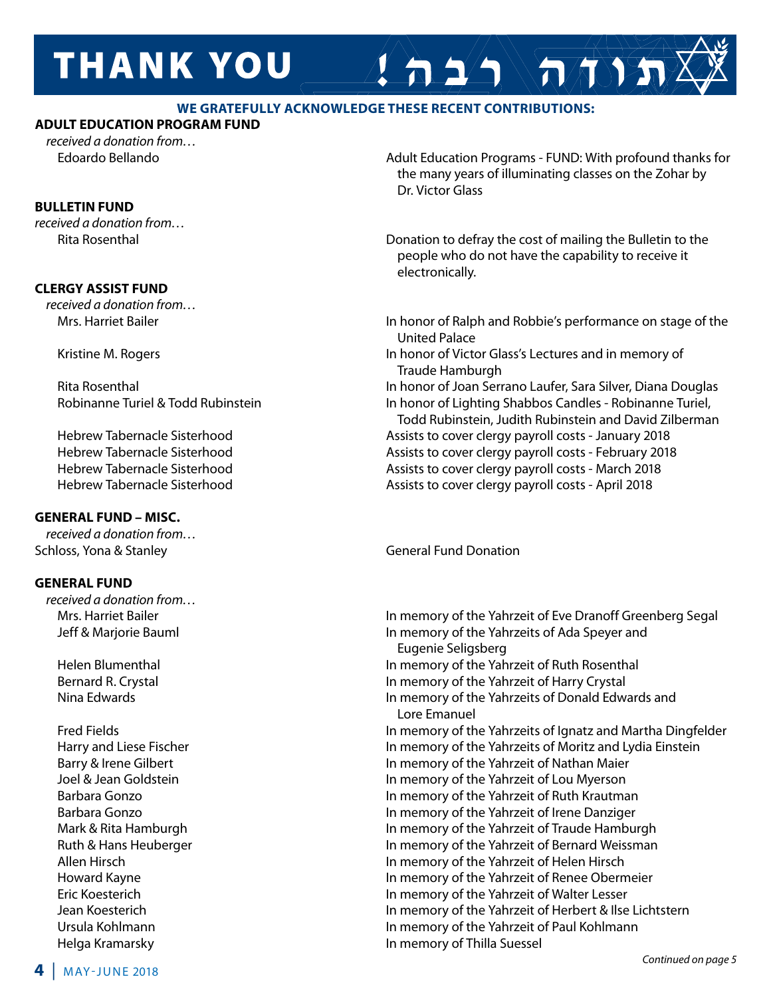# **THANK YOU**

#### **WE GRATEFULLY ACKNOWLEDGE THESE RECENT CONTRIBUTIONS:**

#### **ADULT EDUCATION PROGRAM FUND**

*received a donation from…*

#### **BULLETIN FUND**

*received a donation from…*

#### **CLERGY ASSIST FUND**

*received a donation from…*

#### **GENERAL FUND – MISC.**

*received a donation from…* Schloss, Yona & Stanley General Fund Donation

#### **GENERAL FUND**

*received a donation from…*

 Edoardo Bellando Adult Education Programs - FUND: With profound thanks for the many years of illuminating classes on the Zohar by Dr. Victor Glass

 $A 22 \rightarrow \pi \rightarrow \pi$ 

 Rita Rosenthal Donation to defray the cost of mailing the Bulletin to the people who do not have the capability to receive it electronically.

- Mrs. Harriet Bailer In honor of Ralph and Robbie's performance on stage of the United Palace Kristine M. Rogers **In honor of Victor Glass's Lectures and in memory of**  $\blacksquare$ 
	- Traude Hamburgh

Rita Rosenthal **In honor of Joan Serrano Laufer, Sara Silver**, Diana Douglas Robinanne Turiel & Todd Rubinstein In honor of Lighting Shabbos Candles - Robinanne Turiel, Todd Rubinstein, Judith Rubinstein and David Zilberman Hebrew Tabernacle Sisterhood **Assists to cover clergy payroll costs - January 2018** Hebrew Tabernacle Sisterhood **Assists to cover clergy payroll costs** - February 2018 Hebrew Tabernacle Sisterhood **Assists to cover clergy payroll costs** - March 2018 Hebrew Tabernacle Sisterhood Assists to cover clergy payroll costs - April 2018

Mrs. Harriet Bailer **In memory of the Yahrzeit of Eve Dranoff Greenberg Segal**  Jeff & Marjorie Bauml In memory of the Yahrzeits of Ada Speyer and Eugenie Seligsberg Helen Blumenthal **In memory of the Yahrzeit of Ruth Rosenthal**  Bernard R. Crystal In memory of the Yahrzeit of Harry Crystal Nina Edwards In memory of the Yahrzeits of Donald Edwards and Lore Emanuel Fred Fields In memory of the Yahrzeits of Ignatz and Martha Dingfelder Harry and Liese Fischer **In memory of the Yahrzeits of Moritz and Lydia Einstein** Barry & Irene Gilbert **In memory of the Yahrzeit of Nathan Maier** In memory of the Yahrzeit of Nathan Maier Joel & Jean Goldstein In memory of the Yahrzeit of Lou Myerson Barbara Gonzo In memory of the Yahrzeit of Ruth Krautman Barbara Gonzo In memory of the Yahrzeit of Irene Danziger Mark & Rita Hamburgh **In memory of the Yahrzeit of Traude Hamburgh** In memory of the Yahrzeit of Traude Hamburgh Ruth & Hans Heuberger **In memory of the Yahrzeit of Bernard Weissman**  Allen Hirsch In memory of the Yahrzeit of Helen Hirsch Howard Kayne In memory of the Yahrzeit of Renee Obermeier Eric Koesterich **In memory of the Yahrzeit of Walter Lesser**<br>In memory of the Yahrzeit of Herbert & Ilse<br>In memory of the Yahrzeit of Herbert & Ilse In memory of the Yahrzeit of Herbert & Ilse Lichtstern Ursula Kohlmann In memory of the Yahrzeit of Paul Kohlmann Helga Kramarsky In memory of Thilla Suessel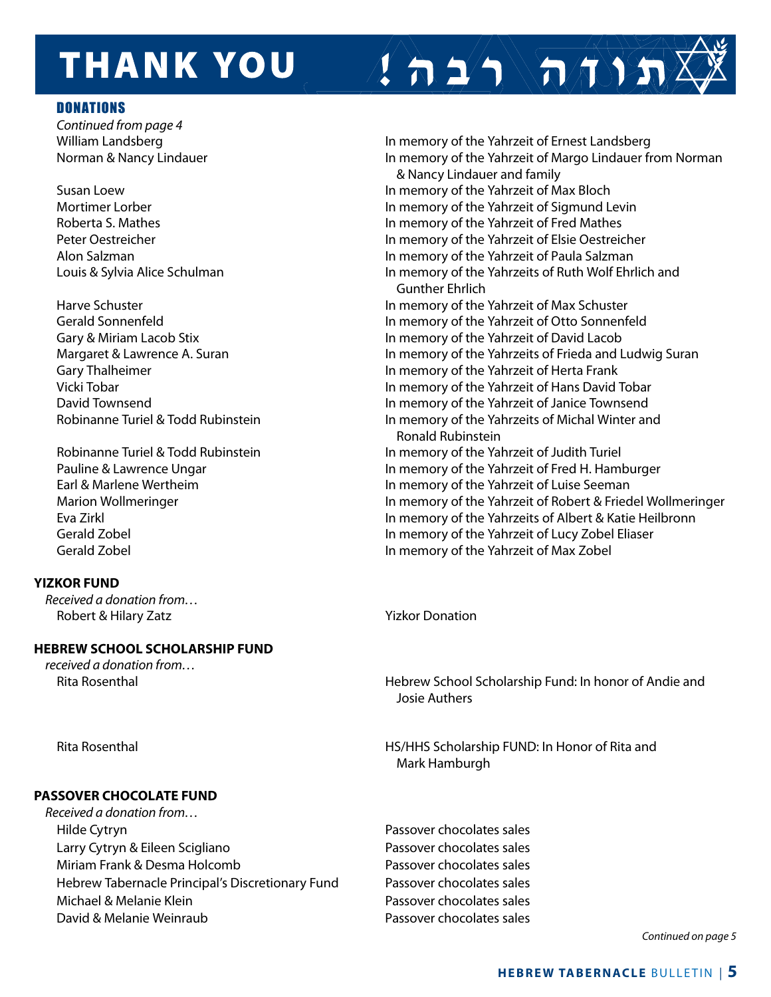## **THANK YOU**

#### **DONATIONS**

 *Continued from page 4*

Earl & Marlene Wertheim In memory of the Yahrzeit of Luise Seeman

#### **YIZKOR FUND**

*Received a donation from…* Robert & Hilary Zatz **Yizkor Donation** 

#### **HEBREW SCHOOL SCHOLARSHIP FUND**

*received a donation from…*

William Landsberg **In memory of the Yahrzeit of Ernest Landsberg** In memory of the Yahrzeit of Ernest Landsberg Norman & Nancy Lindauer **In the United States In memory of the Yahrzeit of Margo Lindauer from Norman**  & Nancy Lindauer and family Susan Loew In memory of the Yahrzeit of Max Bloch Mortimer Lorber **In memory of the Yahrzeit of Sigmund Levin**  Roberta S. Mathes In memory of the Yahrzeit of Fred Mathes Peter Oestreicher In memory of the Yahrzeit of Elsie Oestreicher Alon Salzman In memory of the Yahrzeit of Paula Salzman Louis & Sylvia Alice Schulman In memory of the Yahrzeits of Ruth Wolf Ehrlich and Gunther Ehrlich Harve Schuster **In memory of the Yahrzeit of Max Schuster**  Gerald Sonnenfeld In memory of the Yahrzeit of Otto Sonnenfeld Gary & Miriam Lacob Stix In memory of the Yahrzeit of David Lacob Margaret & Lawrence A. Suran In memory of the Yahrzeits of Frieda and Ludwig Suran Gary Thalheimer **In memory of the Yahrzeit of Herta Frank**  Vicki Tobar In memory of the Yahrzeit of Hans David Tobar David Townsend In memory of the Yahrzeit of Janice Townsend Robinanne Turiel & Todd Rubinstein **In memory of the Yahrzeits of Michal Winter and**  Ronald Rubinstein Robinanne Turiel & Todd Rubinstein In memory of the Yahrzeit of Judith Turiel Pauline & Lawrence Ungar In memory of the Yahrzeit of Fred H. Hamburger

 $\left( \left. \right. \right. \right)$   $\left( \left. \right. \right)$   $\left( \left. \right. \right)$ 

 Marion Wollmeringer In memory of the Yahrzeit of Robert & Friedel Wollmeringer Eva Zirkl In memory of the Yahrzeits of Albert & Katie Heilbronn Gerald Zobel In memory of the Yahrzeit of Lucy Zobel Eliaser Gerald Zobel In memory of the Yahrzeit of Max Zobel

 Rita Rosenthal Hebrew School Scholarship Fund: In honor of Andie and Josie Authers

Rita Rosenthal **HS/HHS Scholarship FUND: In Honor of Rita and** Mark Hamburgh

*Continued on page 5*

#### **PASSOVER CHOCOLATE FUND**

*Received a donation from…* Hilde Cytryn Passover chocolates sales Larry Cytryn & Eileen Scigliano **Passover chocolates sales** Miriam Frank & Desma Holcomb **Passover chocolates sales**  Hebrew Tabernacle Principal's Discretionary Fund Passover chocolates sales Michael & Melanie Klein Passover chocolates sales David & Melanie Weinraub Passover chocolates sales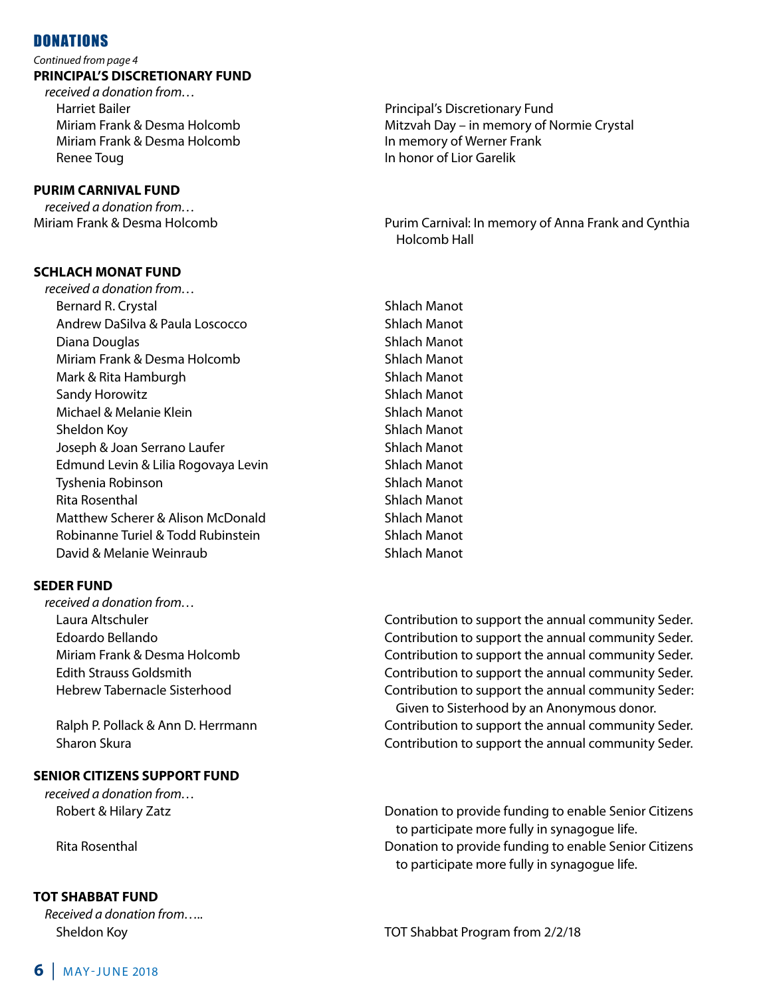#### **DONATIONS**

#### *Continued from page 4* **PRINCIPAL'S DISCRETIONARY FUND**

*received a donation from…*  Harriet Bailer Principal's Discretionary Fund Miriam Frank & Desma Holcomb In memory of Werner Frank Renee Toug **In honor of Lior Garelik** 

#### **PURIM CARNIVAL FUND**

*received a donation from…*

#### **SCHLACH MONAT FUND**

Miriam Frank & Desma Holcomb Mitzvah Day – in memory of Normie Crystal

Miriam Frank & Desma Holcomb Purim Carnival: In memory of Anna Frank and Cynthia Holcomb Hall

*received a donation from…* Bernard R. Crystal Shines and Shines Shines Shines Shines Shines Shines Shines Shines Shines Shines Shines Shines Shines Shines Shines Shines Shines Shines Shines Shines Shines Shines Shines Shines Shines Shines Shines Shi Andrew DaSilva & Paula Loscocco Shlach Manot Diana Douglas Ship Shlach Manot Miriam Frank & Desma Holcomb Shlach Manot Mark & Rita Hamburgh Shlach Manot Sandy Horowitz Shlach Manot Michael & Melanie Klein Shlach Manot Sheldon Koy **Sheldon Koy** Sheldon Koy Sheldon Koy Sheldon Koy Sheldon Sheldon Sheldon Koy Sheldon Sheldon Sheldon Sheldon Sheldon Sheldon Sheldon Sheldon Sheldon Sheldon Sheldon Sheldon Sheldon Sheldon Sheldon Sheldon Shel Joseph & Joan Serrano Laufer Shlach Manot Edmund Levin & Lilia Rogovaya Levin Shlach Manot Tyshenia Robinson Shlach Manot Rita Rosenthal **Shipara Shipara Accepts** Shlach Manot Matthew Scherer & Alison McDonald Shlach Manot Robinanne Turiel & Todd Rubinstein Shlach Manot David & Melanie Weinraub Shlach Manot

#### **SEDER FUND**

*received a donation from…*

#### **SENIOR CITIZENS SUPPORT FUND**

*received a donation from…*

#### **TOT SHABBAT FUND**

*Received a donation from…..*

 Laura Altschuler Contribution to support the annual community Seder. Edoardo Bellando Contribution to support the annual community Seder. Miriam Frank & Desma Holcomb Contribution to support the annual community Seder. Edith Strauss Goldsmith Contribution to support the annual community Seder. Hebrew Tabernacle Sisterhood **Exercise 2 and Taber 2 contribution to support the annual community Seder:**  Given to Sisterhood by an Anonymous donor. Ralph P. Pollack & Ann D. Herrmann Contribution to support the annual community Seder. Sharon Skura Contribution to support the annual community Seder.

 Robert & Hilary Zatz Donation to provide funding to enable Senior Citizens to participate more fully in synagogue life. Rita Rosenthal Donation to provide funding to enable Senior Citizens to participate more fully in synagogue life.

Sheldon Koy TOT Shabbat Program from 2/2/18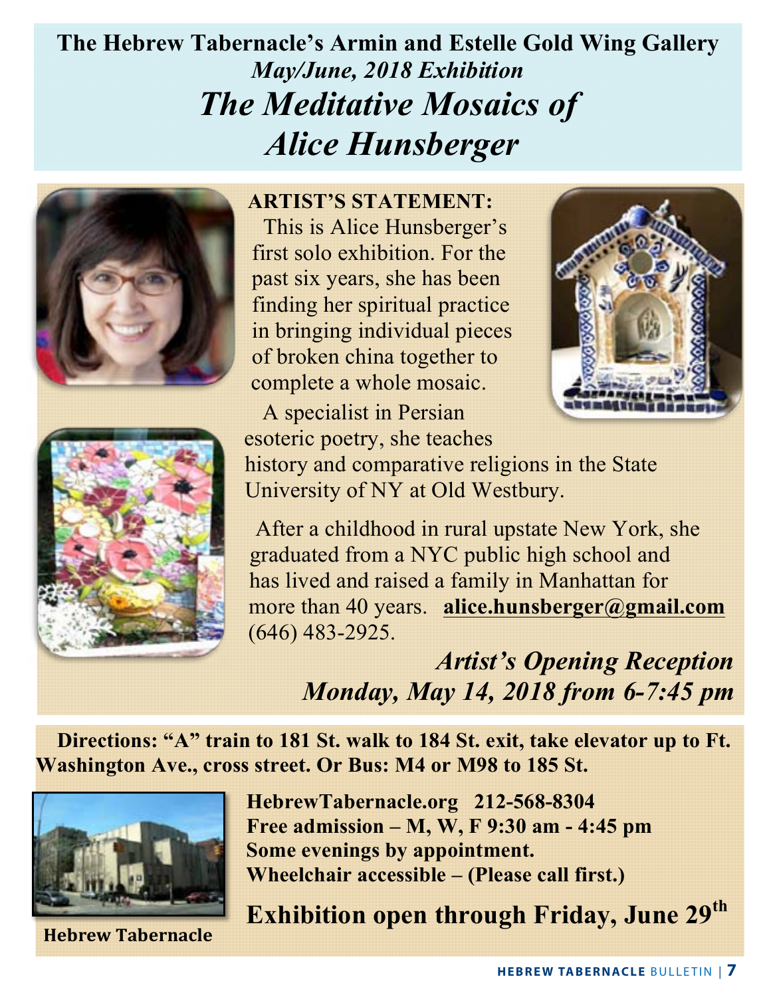## **The Hebrew Tabernacle's Armin and Estelle Gold Wing Gallery** *May/June, 2018 Exhibition The Meditative Mosaics of Alice Hunsberger*





**ARTIST'S STATEMENT:** This is Alice Hunsberger's first solo exhibition. For the past six years, she has been finding her spiritual practice in bringing individual pieces of broken china together to complete a whole mosaic.



 A specialist in Persian esoteric poetry, she teaches history and comparative religions in the State University of NY at Old Westbury.

 After a childhood in rural upstate New York, she graduated from a NYC public high school and has lived and raised a family in Manhattan for more than 40 years. **alice.hunsberger@gmail.com** (646) 483-2925.

> *Artist's Opening Reception Monday, May 14, 2018 from 6-7:45 pm*

 **Directions: "A" train to 181 St. walk to 184 St. exit, take elevator up to Ft. Washington Ave., cross street. Or Bus: M4 or M98 to 185 St.** 



**Hebrew Tabernacle**

**HebrewTabernacle.org 212-568-8304 Free admission – M, W, F 9:30 am - 4:45 pm Some evenings by appointment. Wheelchair accessible – (Please call first.)**

**Exhibition open through Friday, June 29th**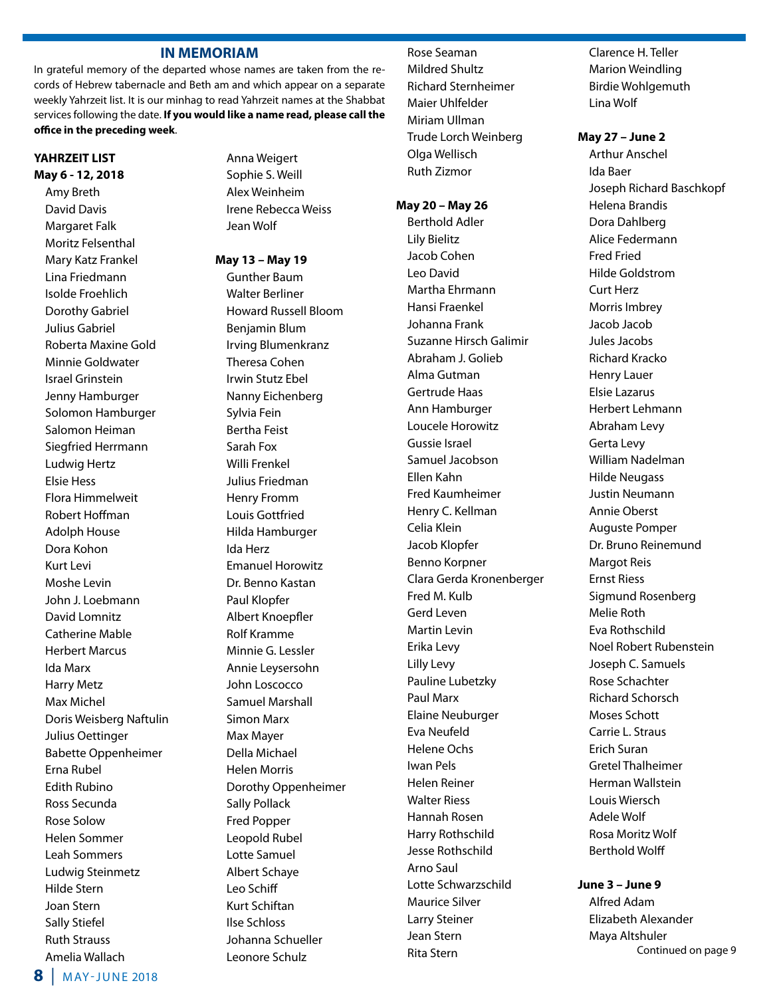#### **IN MEMORIAM**

In grateful memory of the departed whose names are taken from the records of Hebrew tabernacle and Beth am and which appear on a separate weekly Yahrzeit list. It is our minhag to read Yahrzeit names at the Shabbat services following the date. **If you would like a name read, please call the office in the preceding week**.

#### **YAHRZEIT LIST May 6 - 12, 2018**

Amy Breth David Davis Margaret Falk Moritz Felsenthal Mary Katz Frankel Lina Friedmann Isolde Froehlich Dorothy Gabriel Julius Gabriel Roberta Maxine Gold Minnie Goldwater Israel Grinstein Jenny Hamburger Solomon Hamburger Salomon Heiman Siegfried Herrmann Ludwig Hertz Elsie Hess Flora Himmelweit Robert Hoffman Adolph House Dora Kohon Kurt Levi Moshe Levin John J. Loebmann David Lomnitz Catherine Mable Herbert Marcus Ida Marx Harry Metz Max Michel Doris Weisberg Naftulin Julius Oettinger Babette Oppenheimer Erna Rubel Edith Rubino Ross Secunda Rose Solow Helen Sommer Leah Sommers Ludwig Steinmetz Hilde Stern Joan Stern Sally Stiefel Ruth Strauss Amelia Wallach

Anna Weigert Sophie S. Weill Alex Weinheim Irene Rebecca Weiss Jean Wolf

#### **May 13 – May 19**

Gunther Baum Walter Berliner Howard Russell Bloom Benjamin Blum Irving Blumenkranz Theresa Cohen Irwin Stutz Ebel Nanny Eichenberg Sylvia Fein Bertha Feist Sarah Fox Willi Frenkel Julius Friedman Henry Fromm Louis Gottfried Hilda Hamburger Ida Herz Emanuel Horowitz Dr. Benno Kastan Paul Klopfer Albert Knoepfler Rolf Kramme Minnie G. Lessler Annie Leysersohn John Loscocco Samuel Marshall Simon Marx Max Mayer Della Michael Helen Morris Dorothy Oppenheimer Sally Pollack Fred Popper Leopold Rubel Lotte Samuel Albert Schaye Leo Schiff Kurt Schiftan Ilse Schloss Johanna Schueller Leonore Schulz

 Rose Seaman Mildred Shultz Richard Sternheimer Maier Uhlfelder Miriam Ullman Trude Lorch Weinberg Olga Wellisch Ruth Zizmor

#### **May 20 – May 26**

Berthold Adler Lily Bielitz Jacob Cohen Leo David Martha Ehrmann Hansi Fraenkel Johanna Frank Suzanne Hirsch Galimir Abraham J. Golieb Alma Gutman Gertrude Haas Ann Hamburger Loucele Horowitz Gussie Israel Samuel Jacobson Ellen Kahn Fred Kaumheimer Henry C. Kellman Celia Klein Jacob Klopfer Benno Korpner Clara Gerda Kronenberger Fred M. Kulb Gerd Leven Martin Levin Erika Levy Lilly Levy Pauline Lubetzky Paul Marx Elaine Neuburger Eva Neufeld Helene Ochs Iwan Pels Helen Reiner Walter Riess Hannah Rosen Harry Rothschild Jesse Rothschild Arno Saul Lotte Schwarzschild Maurice Silver Larry Steiner Jean Stern Rita Stern

Clarence H. Teller Marion Weindling Birdie Wohlgemuth Lina Wolf

#### **May 27 – June 2**

Arthur Anschel Ida Baer Joseph Richard Baschkopf Helena Brandis Dora Dahlberg Alice Federmann Fred Fried Hilde Goldstrom Curt Herz Morris Imbrey Jacob Jacob Jules Jacobs Richard Kracko Henry Lauer Elsie Lazarus Herbert Lehmann Abraham Levy Gerta Levy William Nadelman Hilde Neugass Justin Neumann Annie Oberst Auguste Pomper Dr. Bruno Reinemund Margot Reis Ernst Riess Sigmund Rosenberg Melie Roth Eva Rothschild Noel Robert Rubenstein Joseph C. Samuels Rose Schachter Richard Schorsch Moses Schott Carrie L. Straus Erich Suran Gretel Thalheimer Herman Wallstein Louis Wiersch Adele Wolf Rosa Moritz Wolf Berthold Wolff

#### **June 3 – June 9**

Alfred Adam Elizabeth Alexander Maya Altshuler Continued on page 9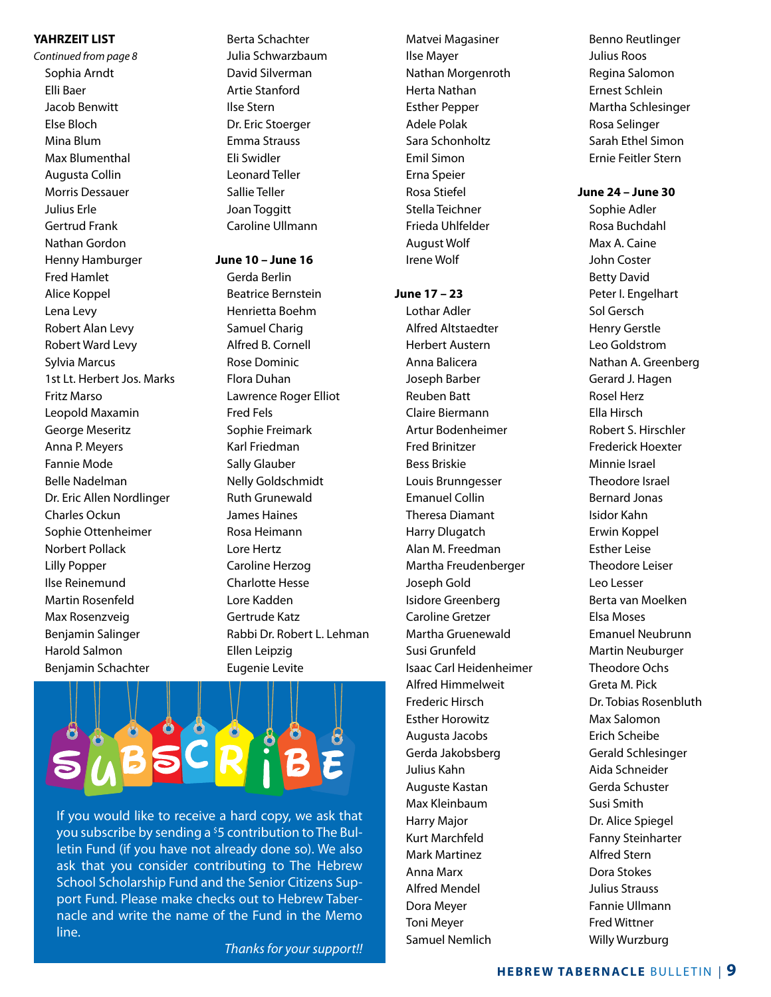#### **YAHRZEIT LIST**

*Continued from page 8* Sophia Arndt Elli Baer Jacob Benwitt Else Bloch Mina Blum Max Blumenthal Augusta Collin Morris Dessauer Julius Erle Gertrud Frank Nathan Gordon Henny Hamburger Fred Hamlet Alice Koppel Lena Levy Robert Alan Levy Robert Ward Levy Sylvia Marcus 1st Lt. Herbert Jos. Marks Fritz Marso Leopold Maxamin George Meseritz Anna P. Meyers Fannie Mode Belle Nadelman Dr. Eric Allen Nordlinger Charles Ockun Sophie Ottenheimer Norbert Pollack Lilly Popper Ilse Reinemund Martin Rosenfeld Max Rosenzveig Benjamin Salinger Harold Salmon Benjamin Schachter

Berta Schachter Julia Schwarzbaum David Silverman Artie Stanford Ilse Stern Dr. Eric Stoerger Emma Strauss Eli Swidler Leonard Teller Sallie Teller Joan Toggitt Caroline Ullmann

#### **June 10 – June 16**

Gerda Berlin Beatrice Bernstein Henrietta Boehm Samuel Charig Alfred B. Cornell Rose Dominic Flora Duhan Lawrence Roger Elliot Fred Fels Sophie Freimark Karl Friedman Sally Glauber Nelly Goldschmidt Ruth Grunewald James Haines Rosa Heimann Lore Hertz Caroline Herzog Charlotte Hesse Lore Kadden Gertrude Katz Rabbi Dr. Robert L. Lehman Ellen Leipzig Eugenie Levite



If you would like to receive a hard copy, we ask that you subscribe by sending a <sup>\$</sup>5 contribution to The Bulletin Fund (if you have not already done so). We also ask that you consider contributing to The Hebrew School Scholarship Fund and the Senior Citizens Support Fund. Please make checks out to Hebrew Tabernacle and write the name of the Fund in the Memo line.

*Thanks for your support!!*

Matvei Magasiner Ilse Mayer Nathan Morgenroth Herta Nathan Esther Pepper Adele Polak Sara Schonholtz Emil Simon Erna Speier Rosa Stiefel Stella Teichner Frieda Uhlfelder August Wolf Irene Wolf

#### **June 17 – 23**

Lothar Adler Alfred Altstaedter Herbert Austern Anna Balicera Joseph Barber Reuben Batt Claire Biermann Artur Bodenheimer Fred Brinitzer Bess Briskie Louis Brunngesser Emanuel Collin Theresa Diamant Harry Dlugatch Alan M. Freedman Martha Freudenberger Joseph Gold Isidore Greenberg Caroline Gretzer Martha Gruenewald Susi Grunfeld Isaac Carl Heidenheimer Alfred Himmelweit Frederic Hirsch Esther Horowitz Augusta Jacobs Gerda Jakobsberg Julius Kahn Auguste Kastan Max Kleinbaum Harry Major Kurt Marchfeld Mark Martinez Anna Marx Alfred Mendel Dora Meyer Toni Meyer Samuel Nemlich

Benno Reutlinger Julius Roos Regina Salomon Ernest Schlein Martha Schlesinger Rosa Selinger Sarah Ethel Simon Ernie Feitler Stern

#### **June 24 – June 30**

 Sophie Adler Rosa Buchdahl Max A. Caine John Coster Betty David Peter I. Engelhart Sol Gersch Henry Gerstle Leo Goldstrom Nathan A. Greenberg Gerard J. Hagen Rosel Herz Ella Hirsch Robert S. Hirschler Frederick Hoexter Minnie Israel Theodore Israel Bernard Jonas Isidor Kahn Erwin Koppel Esther Leise Theodore Leiser Leo Lesser Berta van Moelken Elsa Moses Emanuel Neubrunn Martin Neuburger Theodore Ochs Greta M. Pick Dr. Tobias Rosenbluth Max Salomon Erich Scheibe Gerald Schlesinger Aida Schneider Gerda Schuster Susi Smith Dr. Alice Spiegel Fanny Steinharter Alfred Stern Dora Stokes Julius Strauss Fannie Ullmann Fred Wittner Willy Wurzburg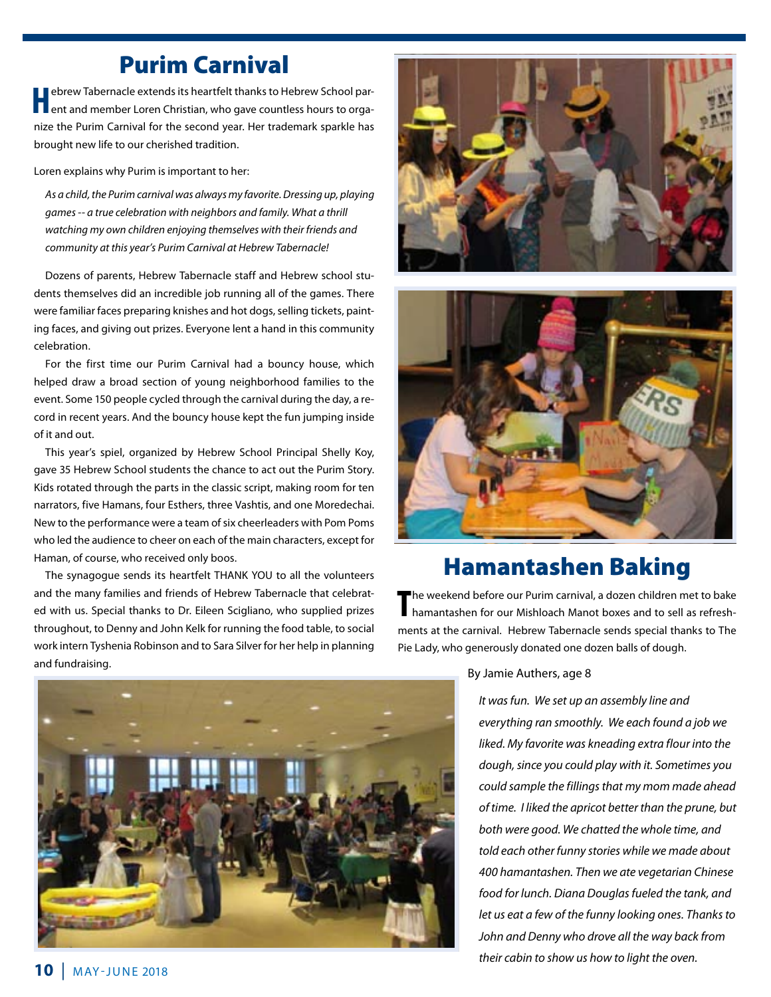### Purim Carnival

**H**ebrew Tabernacle extends its heartfelt thanks to Hebrew School par-<br>
ent and member Loren Christian, who gave countless hours to organize the Purim Carnival for the second year. Her trademark sparkle has brought new life to our cherished tradition.

Loren explains why Purim is important to her:

*As a child, the Purim carnival was always my favorite. Dressing up, playing games -- a true celebration with neighbors and family. What a thrill watching my own children enjoying themselves with their friends and community at this year's Purim Carnival at Hebrew Tabernacle!* 

Dozens of parents, Hebrew Tabernacle staff and Hebrew school students themselves did an incredible job running all of the games. There were familiar faces preparing knishes and hot dogs, selling tickets, painting faces, and giving out prizes. Everyone lent a hand in this community celebration.

For the first time our Purim Carnival had a bouncy house, which helped draw a broad section of young neighborhood families to the event. Some 150 people cycled through the carnival during the day, a record in recent years. And the bouncy house kept the fun jumping inside of it and out.

 This year's spiel, organized by Hebrew School Principal Shelly Koy, gave 35 Hebrew School students the chance to act out the Purim Story. Kids rotated through the parts in the classic script, making room for ten narrators, five Hamans, four Esthers, three Vashtis, and one Moredechai. New to the performance were a team of six cheerleaders with Pom Poms who led the audience to cheer on each of the main characters, except for Haman, of course, who received only boos.

 The synagogue sends its heartfelt THANK YOU to all the volunteers and the many families and friends of Hebrew Tabernacle that celebrated with us. Special thanks to Dr. Eileen Scigliano, who supplied prizes throughout, to Denny and John Kelk for running the food table, to social work intern Tyshenia Robinson and to Sara Silver for her help in planning and fundraising.





### Hamantashen Baking

The weekend before our Purim carnival, a dozen children met to bake<br>
hamantashen for our Mishloach Manot boxes and to sell as refreshhamantashen for our Mishloach Manot boxes and to sell as refreshments at the carnival. Hebrew Tabernacle sends special thanks to The Pie Lady, who generously donated one dozen balls of dough.



By Jamie Authers, age 8

*It was fun. We set up an assembly line and everything ran smoothly. We each found a job we liked. My favorite was kneading extra flour into the dough, since you could play with it. Sometimes you could sample the fillings that my mom made ahead of time. I liked the apricot better than the prune, but both were good. We chatted the whole time, and told each other funny stories while we made about 400 hamantashen. Then we ate vegetarian Chinese food for lunch. Diana Douglas fueled the tank, and let us eat a few of the funny looking ones. Thanks to John and Denny who drove all the way back from their cabin to show us how to light the oven.*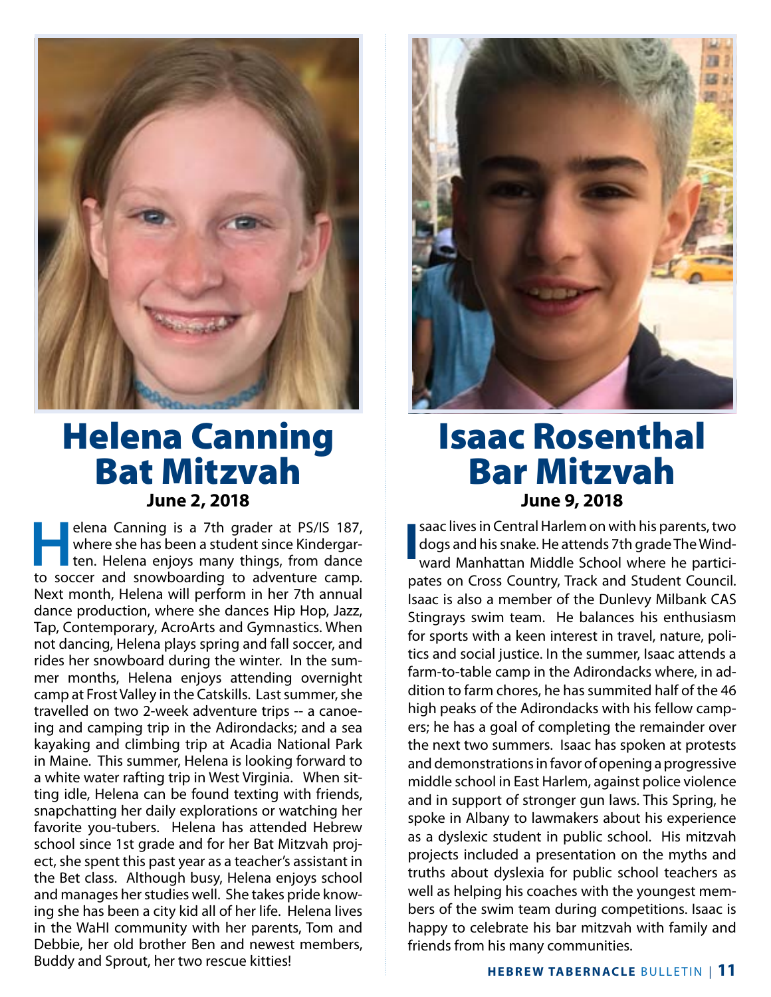

### Helena Canning Bat Mitzvah **June 2, 2018**

**Helena Canning is a 7th grader at PS/IS 187, where she has been a student since Kindergarten. Helena enjoys many things, from dance** where she has been a student since Kindergarten. Helena enjoys many things, from dance to soccer and snowboarding to adventure camp. Next month, Helena will perform in her 7th annual dance production, where she dances Hip Hop, Jazz, Tap, Contemporary, AcroArts and Gymnastics. When not dancing, Helena plays spring and fall soccer, and rides her snowboard during the winter. In the summer months, Helena enjoys attending overnight camp at Frost Valley in the Catskills. Last summer, she travelled on two 2-week adventure trips -- a canoeing and camping trip in the Adirondacks; and a sea kayaking and climbing trip at Acadia National Park in Maine. This summer, Helena is looking forward to a white water rafting trip in West Virginia. When sitting idle, Helena can be found texting with friends, snapchatting her daily explorations or watching her favorite you-tubers. Helena has attended Hebrew school since 1st grade and for her Bat Mitzvah project, she spent this past year as a teacher's assistant in the Bet class. Although busy, Helena enjoys school and manages her studies well. She takes pride knowing she has been a city kid all of her life. Helena lives in the WaHI community with her parents, Tom and Debbie, her old brother Ben and newest members, Buddy and Sprout, her two rescue kitties!



### Isaac Rosenthal Bar Mitzvah **June 9, 2018**

**I** saac lives in Central Harlem on with his parents, two dogs and his snake. He attends 7th grade The Windward Manhattan Middle School where he participates on Cross Country, Track and Student Council. Isaac is also a member of the Dunlevy Milbank CAS Stingrays swim team. He balances his enthusiasm for sports with a keen interest in travel, nature, politics and social justice. In the summer, Isaac attends a farm-to-table camp in the Adirondacks where, in addition to farm chores, he has summited half of the 46 high peaks of the Adirondacks with his fellow campers; he has a goal of completing the remainder over the next two summers. Isaac has spoken at protests and demonstrations in favor of opening a progressive middle school in East Harlem, against police violence and in support of stronger gun laws. This Spring, he spoke in Albany to lawmakers about his experience as a dyslexic student in public school. His mitzvah projects included a presentation on the myths and truths about dyslexia for public school teachers as well as helping his coaches with the youngest members of the swim team during competitions. Isaac is happy to celebrate his bar mitzvah with family and friends from his many communities.